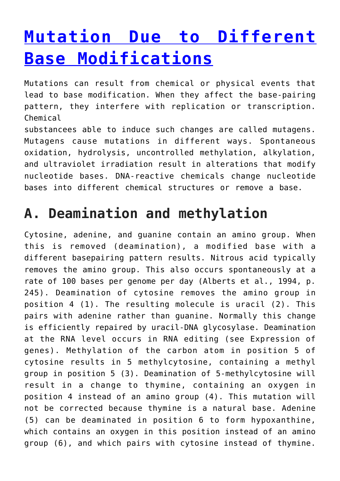# **[Mutation Due to Different](https://www.magazinescience.com/en/biology/mutation-due-to-different-base-modifications/) [Base Modifications](https://www.magazinescience.com/en/biology/mutation-due-to-different-base-modifications/)**

Mutations can result from chemical or physical events that lead to base modification. When they affect the base-pairing pattern, they interfere with replication or transcription. Chemical

substancees able to induce such changes are called mutagens. Mutagens cause mutations in different ways. Spontaneous oxidation, hydrolysis, uncontrolled methylation, alkylation, and ultraviolet irradiation result in alterations that modify nucleotide bases. DNA-reactive chemicals change nucleotide bases into different chemical structures or remove a base.

### **A. Deamination and methylation**

Cytosine, adenine, and guanine contain an amino group. When this is removed (deamination), a modified base with a different basepairing pattern results. Nitrous acid typically removes the amino group. This also occurs spontaneously at a rate of 100 bases per genome per day (Alberts et al., 1994, p. 245). Deamination of cytosine removes the amino group in position 4 (1). The resulting molecule is uracil (2). This pairs with adenine rather than guanine. Normally this change is efficiently repaired by uracil-DNA glycosylase. Deamination at the RNA level occurs in RNA editing (see Expression of genes). Methylation of the carbon atom in position 5 of cytosine results in 5 methylcytosine, containing a methyl group in position 5 (3). Deamination of 5-methylcytosine will result in a change to thymine, containing an oxygen in position 4 instead of an amino group (4). This mutation will not be corrected because thymine is a natural base. Adenine (5) can be deaminated in position 6 to form hypoxanthine, which contains an oxygen in this position instead of an amino group (6), and which pairs with cytosine instead of thymine.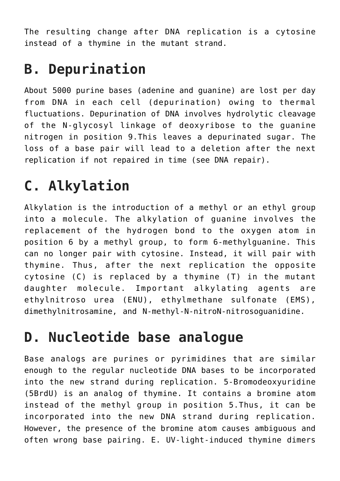The resulting change after DNA replication is a cytosine instead of a thymine in the mutant strand.

#### **B. Depurination**

About 5000 purine bases (adenine and guanine) are lost per day from DNA in each cell (depurination) owing to thermal fluctuations. Depurination of DNA involves hydrolytic cleavage of the N-glycosyl linkage of deoxyribose to the guanine nitrogen in position 9.This leaves a depurinated sugar. The loss of a base pair will lead to a deletion after the next replication if not repaired in time (see DNA repair).

## **C. Alkylation**

Alkylation is the introduction of a methyl or an ethyl group into a molecule. The alkylation of guanine involves the replacement of the hydrogen bond to the oxygen atom in position 6 by a methyl group, to form 6-methylguanine. This can no longer pair with cytosine. Instead, it will pair with thymine. Thus, after the next replication the opposite cytosine (C) is replaced by a thymine (T) in the mutant daughter molecule. Important alkylating agents are ethylnitroso urea (ENU), ethylmethane sulfonate (EMS), dimethylnitrosamine, and N-methyl-N-nitroN-nitrosoguanidine.

#### **D. Nucleotide base analogue**

Base analogs are purines or pyrimidines that are similar enough to the regular nucleotide DNA bases to be incorporated into the new strand during replication. 5-Bromodeoxyuridine (5BrdU) is an analog of thymine. It contains a bromine atom instead of the methyl group in position 5.Thus, it can be incorporated into the new DNA strand during replication. However, the presence of the bromine atom causes ambiguous and often wrong base pairing. E. UV-light-induced thymine dimers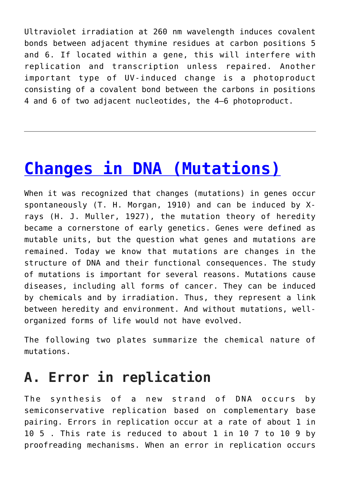Ultraviolet irradiation at 260 nm wavelength induces covalent bonds between adjacent thymine residues at carbon positions 5 and 6. If located within a gene, this will interfere with replication and transcription unless repaired. Another important type of UV-induced change is a photoproduct consisting of a covalent bond between the carbons in positions 4 and 6 of two adjacent nucleotides, the 4–6 photoproduct.

# **[Changes in DNA \(Mutations\)](https://www.magazinescience.com/en/biology/changes-dna-mutations/)**

When it was recognized that changes (mutations) in genes occur spontaneously (T. H. Morgan, 1910) and can be induced by Xrays (H. J. Muller, 1927), the mutation theory of heredity became a cornerstone of early genetics. Genes were defined as mutable units, but the question what genes and mutations are remained. Today we know that mutations are changes in the structure of DNA and their functional consequences. The study of mutations is important for several reasons. Mutations cause diseases, including all forms of cancer. They can be induced by chemicals and by irradiation. Thus, they represent a link between heredity and environment. And without mutations, wellorganized forms of life would not have evolved.

The following two plates summarize the chemical nature of mutations.

#### **A. Error in replication**

The synthesis of a new strand of DNA occurs by semiconservative replication based on complementary base pairing. Errors in replication occur at a rate of about 1 in 10 5 . This rate is reduced to about 1 in 10 7 to 10 9 by proofreading mechanisms. When an error in replication occurs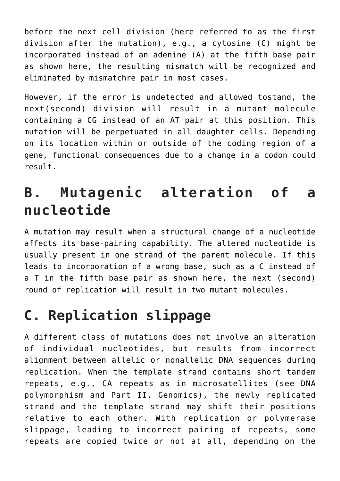before the next cell division (here referred to as the first division after the mutation), e.g., a cytosine (C) might be incorporated instead of an adenine (A) at the fifth base pair as shown here, the resulting mismatch will be recognized and eliminated by mismatchre pair in most cases.

However, if the error is undetected and allowed tostand, the next(second) division will result in a mutant molecule containing a CG instead of an AT pair at this position. This mutation will be perpetuated in all daughter cells. Depending on its location within or outside of the coding region of a gene, functional consequences due to a change in a codon could result.

### **B. Mutagenic alteration of a nucleotide**

A mutation may result when a structural change of a nucleotide affects its base-pairing capability. The altered nucleotide is usually present in one strand of the parent molecule. If this leads to incorporation of a wrong base, such as a C instead of a T in the fifth base pair as shown here, the next (second) round of replication will result in two mutant molecules.

#### **C. Replication slippage**

A different class of mutations does not involve an alteration of individual nucleotides, but results from incorrect alignment between allelic or nonallelic DNA sequences during replication. When the template strand contains short tandem repeats, e.g., CA repeats as in microsatellites (see DNA polymorphism and Part II, Genomics), the newly replicated strand and the template strand may shift their positions relative to each other. With replication or polymerase slippage, leading to incorrect pairing of repeats, some repeats are copied twice or not at all, depending on the